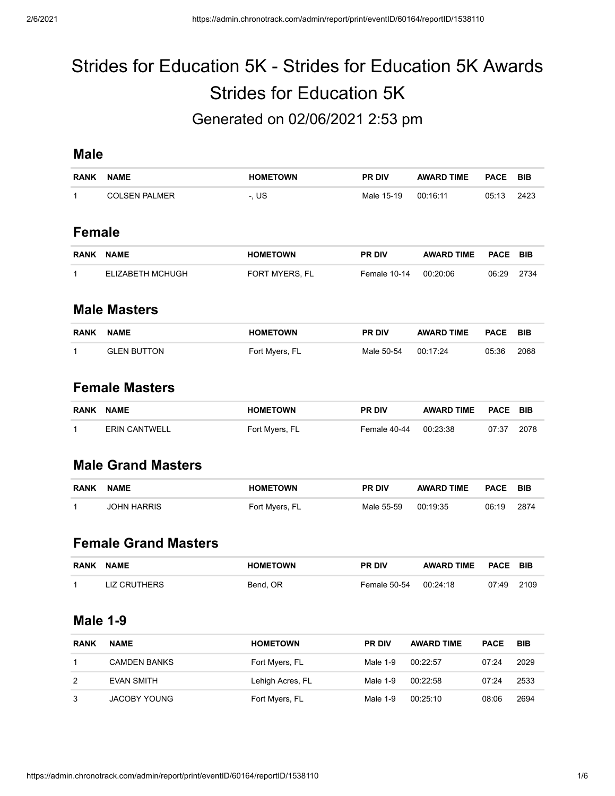# Strides for Education 5K - Strides for Education 5K Awards Strides for Education 5K Generated on 02/06/2021 2:53 pm

#### **Male**

| <b>RANK</b>   | <b>NAME</b>             | <b>HOMETOWN</b> | <b>PR DIV</b> | <b>AWARD TIME</b> | <b>PACE</b> | <b>BIB</b> |  |  |  |
|---------------|-------------------------|-----------------|---------------|-------------------|-------------|------------|--|--|--|
| 1             | <b>COLSEN PALMER</b>    | $-L$ US         | Male 15-19    | 00:16:11          | 05:13       | 2423       |  |  |  |
| <b>Female</b> |                         |                 |               |                   |             |            |  |  |  |
| <b>RANK</b>   | <b>NAME</b>             | <b>HOMETOWN</b> | <b>PR DIV</b> | <b>AWARD TIME</b> | <b>PACE</b> | <b>BIB</b> |  |  |  |
| 1             | <b>ELIZABETH MCHUGH</b> | FORT MYERS, FL  | Female 10-14  | 00:20:06          | 06:29       | 2734       |  |  |  |
|               | <b>Male Masters</b>     |                 |               |                   |             |            |  |  |  |
| <b>RANK</b>   | <b>NAME</b>             | <b>HOMETOWN</b> | <b>PR DIV</b> | <b>AWARD TIME</b> | <b>PACE</b> | <b>BIB</b> |  |  |  |
| 1             | <b>GLEN BUTTON</b>      | Fort Myers, FL  | Male 50-54    | 00:17:24          | 05:36       | 2068       |  |  |  |

# **Female Masters**

| <b>RANK</b> | <b>NAME</b>          | <b>HOMETOWN</b> | <b>PR DIV</b> | AWARD TIME PACE BIB |       |      |
|-------------|----------------------|-----------------|---------------|---------------------|-------|------|
|             | <b>ERIN CANTWELL</b> | Fort Myers, FL  | Female 40-44  | 00:23:38            | 07:37 | 2078 |

#### **Male Grand Masters**

| <b>RANK</b> | <b>NAME</b> | <b>HOMETOWN</b> | <b>PR DIV</b> | <b>AWARD TIME</b> | <b>PACE</b> | <b>BIB</b> |
|-------------|-------------|-----------------|---------------|-------------------|-------------|------------|
|             | JOHN HARRIS | Fort Myers, FL  | Male 55-59    | 00:19:35          | 06:19       | 2874       |

#### **Female Grand Masters**

| <b>RANK</b> | <b>NAME</b>  | <b>HOMETOWN</b> | <b>PR DIV</b>         | <b>AWARD TIME</b> | <b>PACE BIB</b> |  |
|-------------|--------------|-----------------|-----------------------|-------------------|-----------------|--|
|             | LIZ CRUTHERS | Bend, OR        | Female 50-54 00:24:18 |                   | 07:49 2109      |  |

#### **Male 1-9**

| <b>RANK</b> | <b>NAME</b>         | <b>HOMETOWN</b>  | <b>PR DIV</b> | <b>AWARD TIME</b> | <b>PACE</b> | <b>BIB</b> |
|-------------|---------------------|------------------|---------------|-------------------|-------------|------------|
|             | <b>CAMDEN BANKS</b> | Fort Myers, FL   | Male $1-9$    | 00:22:57          | 07.24       | 2029       |
| 2           | EVAN SMITH          | Lehigh Acres, FL | Male 1-9      | 00:22:58          | 07:24       | 2533       |
| 3           | <b>JACOBY YOUNG</b> | Fort Myers, FL   | Male 1-9      | 00.25:10          | 08:06       | 2694       |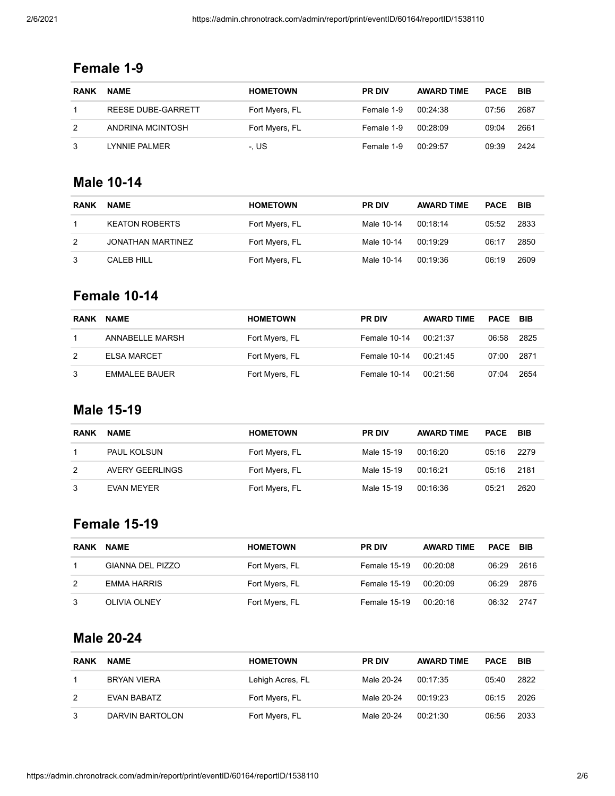## **Female 1-9**

| <b>RANK</b> | <b>NAME</b>        | <b>HOMETOWN</b> | <b>PR DIV</b> | <b>AWARD TIME</b> | <b>PACE</b> | <b>BIB</b> |
|-------------|--------------------|-----------------|---------------|-------------------|-------------|------------|
|             | REESE DUBE-GARRETT | Fort Myers, FL  | Female 1-9    | 00:24:38          | 07:56       | 2687       |
|             | ANDRINA MCINTOSH   | Fort Myers, FL  | Female 1-9    | 00:28:09          | 09:04       | 2661       |
|             | LYNNIE PALMER      | -. US           | Female 1-9    | 00:29:57          | 09:39       | 2424       |

#### **Male 10-14**

| <b>RANK</b> | <b>NAME</b>           | <b>HOMETOWN</b> | <b>PR DIV</b> | <b>AWARD TIME</b> | <b>PACE</b> | <b>BIB</b> |
|-------------|-----------------------|-----------------|---------------|-------------------|-------------|------------|
|             | <b>KEATON ROBERTS</b> | Fort Myers, FL  | Male 10-14    | 00:18:14          | 05:52       | 2833       |
| 2           | JONATHAN MARTINEZ     | Fort Myers, FL  | Male 10-14    | 00:19:29          | 06:17       | 2850       |
| 3           | CALEB HILL            | Fort Myers, FL  | Male 10-14    | 00:19:36          | 06:19       | 2609       |

#### **Female 10-14**

| <b>RANK</b> | <b>NAME</b>        | <b>HOMETOWN</b> | <b>PR DIV</b> | <b>AWARD TIME</b> | <b>PACE BIB</b> |      |
|-------------|--------------------|-----------------|---------------|-------------------|-----------------|------|
|             | ANNABELLE MARSH    | Fort Myers, FL  | Female 10-14  | 00:21:37          | 06:58           | 2825 |
| 2           | <b>ELSA MARCET</b> | Fort Myers, FL  | Female 10-14  | 00:21:45          | 07:00           | 2871 |
| 3           | EMMALEE BAUER      | Fort Myers, FL  | Female 10-14  | 00:21:56          | 07:04           | 2654 |

## **Male 15-19**

| <b>RANK</b> | <b>NAME</b>        | <b>HOMETOWN</b> | <b>PR DIV</b> | <b>AWARD TIME</b> | PACE  | BIB  |
|-------------|--------------------|-----------------|---------------|-------------------|-------|------|
|             | <b>PAUL KOLSUN</b> | Fort Myers, FL  | Male 15-19    | 00:16:20          | 05:16 | 2279 |
| 2           | AVERY GEERLINGS    | Fort Myers, FL  | Male 15-19    | 00:16:21          | 05:16 | 2181 |
| 3           | EVAN MEYER         | Fort Myers, FL  | Male 15-19    | 00:16:36          | 05:21 | 2620 |

# **Female 15-19**

| <b>RANK</b> | <b>NAME</b>             | <b>HOMETOWN</b> | <b>PR DIV</b> | <b>AWARD TIME</b> | <b>PACE BIB</b> |      |
|-------------|-------------------------|-----------------|---------------|-------------------|-----------------|------|
|             | <b>GIANNA DEL PIZZO</b> | Fort Myers, FL  | Female 15-19  | 00:20:08          | 06:29           | 2616 |
| 2           | <b>EMMA HARRIS</b>      | Fort Myers, FL  | Female 15-19  | 00:20:09          | 06:29           | 2876 |
| 3           | <b>OLIVIA OLNEY</b>     | Fort Myers, FL  | Female 15-19  | 00:20:16          | 06:32           | 2747 |

## **Male 20-24**

| <b>RANK</b> | <b>NAME</b>     | <b>HOMETOWN</b>  | <b>PR DIV</b> | <b>AWARD TIME</b> | <b>PACE</b> | <b>BIB</b> |
|-------------|-----------------|------------------|---------------|-------------------|-------------|------------|
|             | BRYAN VIERA     | Lehigh Acres, FL | Male 20-24    | 00:17:35          | 05:40       | 2822       |
| 2           | EVAN BABATZ     | Fort Myers, FL   | Male 20-24    | 00:19:23          | 06:15       | 2026       |
| 3           | DARVIN BARTOLON | Fort Myers, FL   | Male 20-24    | 00:21:30          | 06:56       | 2033       |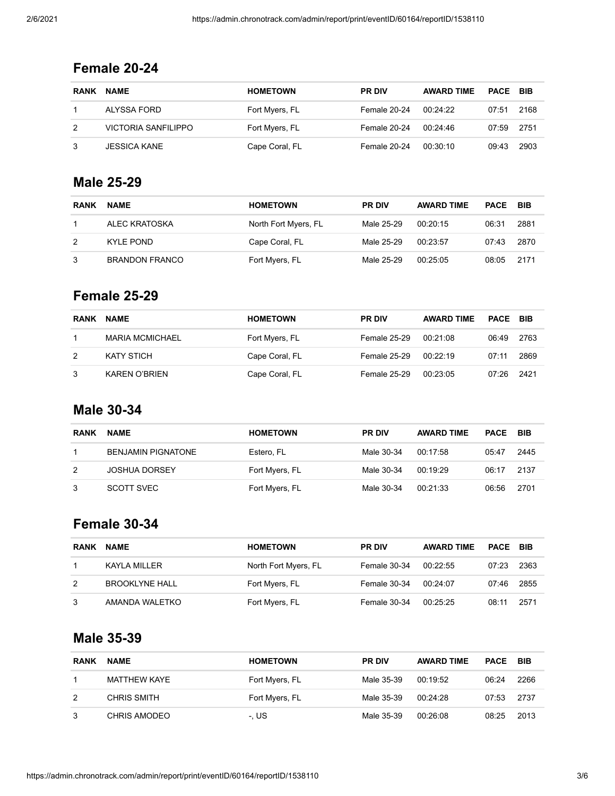## **Female 20-24**

| <b>RANK</b> | <b>NAME</b>         | <b>HOMETOWN</b> | <b>PR DIV</b> | <b>AWARD TIME</b> | <b>PACE BIB</b> |      |
|-------------|---------------------|-----------------|---------------|-------------------|-----------------|------|
|             | ALYSSA FORD         | Fort Myers, FL  | Female 20-24  | 00:24:22          | 07:51           | 2168 |
|             | VICTORIA SANFILIPPO | Fort Myers, FL  | Female 20-24  | 00:24:46          | 07:59           | 2751 |
|             | JESSICA KANE        | Cape Coral, FL  | Female 20-24  | 00:30:10          | 09:43           | 2903 |

## **Male 25-29**

| <b>RANK</b>   | <b>NAME</b>           | <b>HOMETOWN</b>      | <b>PR DIV</b> | <b>AWARD TIME</b> | <b>PACE BIB</b> |      |
|---------------|-----------------------|----------------------|---------------|-------------------|-----------------|------|
|               | ALEC KRATOSKA         | North Fort Myers, FL | Male 25-29    | 00:20:15          | 06:31           | 2881 |
| $\mathcal{P}$ | KYLE POND             | Cape Coral, FL       | Male 25-29    | 00:23:57          | 07:43           | 2870 |
| 3             | <b>BRANDON FRANCO</b> | Fort Myers, FL       | Male 25-29    | 00:25:05          | 08:05           | 2171 |

#### **Female 25-29**

| <b>RANK</b> | <b>NAME</b>            | <b>HOMETOWN</b> | <b>PR DIV</b> | <b>AWARD TIME</b> | <b>PACE BIB</b> |      |
|-------------|------------------------|-----------------|---------------|-------------------|-----------------|------|
|             | <b>MARIA MCMICHAEL</b> | Fort Myers, FL  | Female 25-29  | 00:21:08          | 06:49           | 2763 |
| 2           | KATY STICH             | Cape Coral, FL  | Female 25-29  | 00.22.19          | 07:11           | 2869 |
| 3           | <b>KAREN O'BRIEN</b>   | Cape Coral, FL  | Female 25-29  | 00:23:05          | 07:26           | 2421 |

## **Male 30-34**

| <b>RANK</b> | <b>NAME</b>               | <b>HOMETOWN</b> | <b>PR DIV</b> | <b>AWARD TIME</b> | PACE  | <b>BIB</b> |
|-------------|---------------------------|-----------------|---------------|-------------------|-------|------------|
|             | <b>BENJAMIN PIGNATONE</b> | Estero, FL      | Male 30-34    | 00:17:58          | 05:47 | 2445       |
| 2           | <b>JOSHUA DORSEY</b>      | Fort Myers, FL  | Male 30-34    | 00:19:29          | 06:17 | 2137       |
| 3           | SCOTT SVEC                | Fort Myers, FL  | Male 30-34    | 00:21:33          | 06:56 | 2701       |

# **Female 30-34**

| <b>RANK</b> | <b>NAME</b>           | <b>HOMETOWN</b>      | <b>PR DIV</b> | <b>AWARD TIME</b> | <b>PACE BIB</b> |      |
|-------------|-----------------------|----------------------|---------------|-------------------|-----------------|------|
|             | <b>KAYLA MILLER</b>   | North Fort Myers, FL | Female 30-34  | 00:22:55          | 07:23           | 2363 |
| 2           | <b>BROOKLYNE HALL</b> | Fort Myers, FL       | Female 30-34  | 00:24:07          | 07:46           | 2855 |
| 3           | AMANDA WALETKO        | Fort Myers, FL       | Female 30-34  | 00:25:25          | 08:11           | 2571 |

## **Male 35-39**

| <b>RANK</b> | <b>NAME</b>        | <b>HOMETOWN</b> | <b>PR DIV</b> | <b>AWARD TIME</b> | <b>PACE BIB</b> |      |
|-------------|--------------------|-----------------|---------------|-------------------|-----------------|------|
|             | MATTHEW KAYE       | Fort Myers, FL  | Male 35-39    | 00:19:52          | 06:24           | 2266 |
| 2           | <b>CHRIS SMITH</b> | Fort Myers, FL  | Male 35-39    | 00:24:28          | 07:53           | 2737 |
| 3           | CHRIS AMODEO       | -. US           | Male 35-39    | 00:26:08          | 08:25           | 2013 |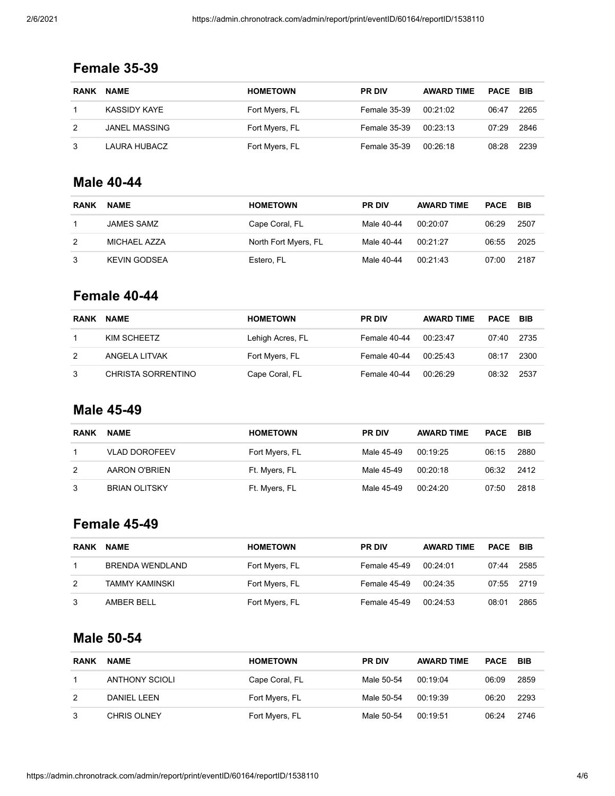| <b>RANK</b> | <b>NAME</b>   | <b>HOMETOWN</b> | <b>PR DIV</b>       | <b>AWARD TIME</b> | PACE BIB |      |
|-------------|---------------|-----------------|---------------------|-------------------|----------|------|
|             | KASSIDY KAYE  | Fort Myers, FL  | <b>Female 35-39</b> | 00:21:02          | 06:47    | 2265 |
|             | JANEL MASSING | Fort Myers, FL  | Female 35-39        | 00:23:13          | 07:29    | 2846 |
|             | LAURA HUBACZ  | Fort Myers, FL  | Female 35-39        | 00:26:18          | 08:28    | 2239 |

## **Female 35-39**

#### **Male 40-44**

| <b>RANK</b> | <b>NAME</b>         | <b>HOMETOWN</b>      | <b>PR DIV</b> | <b>AWARD TIME</b> | PACE  | BIB  |
|-------------|---------------------|----------------------|---------------|-------------------|-------|------|
|             | JAMES SAMZ          | Cape Coral, FL       | Male 40-44    | 00:20:07          | 06:29 | 2507 |
| 2           | MICHAEL AZZA        | North Fort Myers, FL | Male 40-44    | 00:21:27          | 06:55 | 2025 |
|             | <b>KEVIN GODSEA</b> | Estero, FL           | Male 40-44    | 00:21:43          | 07:00 | 2187 |

#### **Female 40-44**

| <b>RANK</b> | <b>NAME</b>        | <b>HOMETOWN</b>  | <b>PR DIV</b> | <b>AWARD TIME</b> | <b>PACE BIB</b> |      |
|-------------|--------------------|------------------|---------------|-------------------|-----------------|------|
|             | KIM SCHEETZ        | Lehigh Acres, FL | Female 40-44  | 00:23:47          | 07:40           | 2735 |
| 2           | ANGELA LITVAK      | Fort Myers, FL   | Female 40-44  | 00:25:43          | 08:17           | 2300 |
| 3           | CHRISTA SORRENTINO | Cape Coral, FL   | Female 40-44  | 00:26:29          | 08:32           | 2537 |

## **Male 45-49**

| <b>RANK</b> | <b>NAME</b>          | <b>HOMETOWN</b> | <b>PR DIV</b> | <b>AWARD TIME</b> | PACE  | <b>BIB</b> |
|-------------|----------------------|-----------------|---------------|-------------------|-------|------------|
|             | <b>VLAD DOROFEEV</b> | Fort Myers, FL  | Male 45-49    | 00:19:25          | 06:15 | 2880       |
| 2           | AARON O'BRIEN        | Ft. Myers, FL   | Male 45-49    | 00:20:18          | 06:32 | 2412       |
| 3           | <b>BRIAN OLITSKY</b> | Ft. Myers, FL   | Male 45-49    | 00.24.20          | 07:50 | 2818       |

# **Female 45-49**

| <b>RANK</b> | <b>NAME</b>     | <b>HOMETOWN</b> | <b>PR DIV</b> | <b>AWARD TIME</b> | PACE  | <b>BIB</b> |
|-------------|-----------------|-----------------|---------------|-------------------|-------|------------|
|             | BRENDA WENDLAND | Fort Myers, FL  | Female 45-49  | 00:24:01          | 07:44 | 2585       |
| 2           | TAMMY KAMINSKI  | Fort Myers, FL  | Female 45-49  | 00:24:35          | 07:55 | 2719       |
| 3           | AMBER BELL      | Fort Myers, FL  | Female 45-49  | 00:24:53          | 08:01 | 2865       |

## **Male 50-54**

| <b>RANK</b> | <b>NAME</b>        | <b>HOMETOWN</b> | <b>PR DIV</b> | <b>AWARD TIME</b> | <b>PACE</b> | <b>BIB</b> |
|-------------|--------------------|-----------------|---------------|-------------------|-------------|------------|
|             | ANTHONY SCIOLI     | Cape Coral, FL  | Male 50-54    | 00:19:04          | 06:09       | 2859       |
| 2           | DANIEL LEEN        | Fort Myers, FL  | Male 50-54    | 00:19:39          | 06:20       | 2293       |
| 3           | <b>CHRIS OLNEY</b> | Fort Myers, FL  | Male 50-54    | 00:19:51          | 06:24       | 2746       |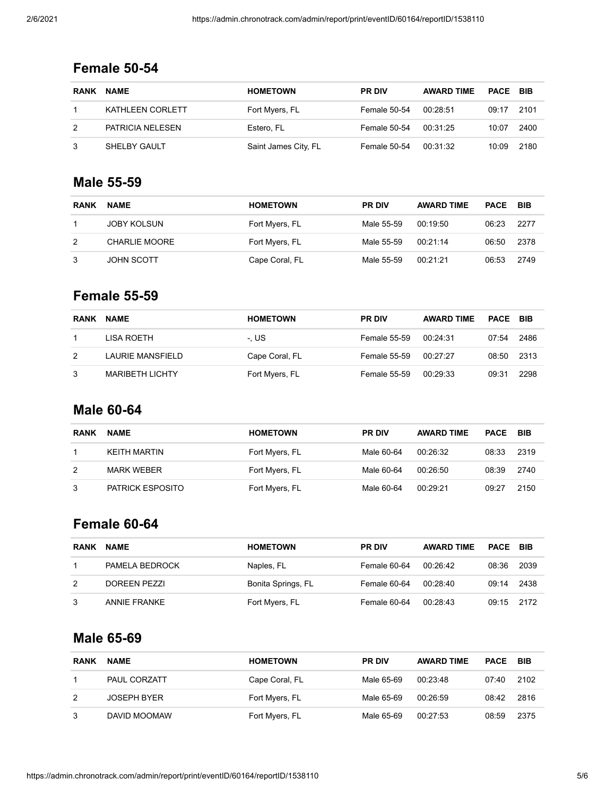## **Female 50-54**

| <b>RANK</b> | <b>NAME</b>      | <b>HOMETOWN</b>      | <b>PR DIV</b> | <b>AWARD TIME</b> | <b>PACE BIB</b> |      |
|-------------|------------------|----------------------|---------------|-------------------|-----------------|------|
|             | KATHLEEN CORLETT | Fort Myers, FL       | Female 50-54  | 00:28:51          | 09:17           | 2101 |
|             | PATRICIA NELESEN | Estero, FL           | Female 50-54  | 00:31:25          | 10:07           | 2400 |
|             | SHELBY GAULT     | Saint James City, FL | Female 50-54  | 00:31:32          | 10:09           | 2180 |

#### **Male 55-59**

| <b>RANK</b> | <b>NAME</b>        | <b>HOMETOWN</b> | <b>PR DIV</b> | <b>AWARD TIME</b> | PACE  | <b>BIB</b> |
|-------------|--------------------|-----------------|---------------|-------------------|-------|------------|
|             | <b>JOBY KOLSUN</b> | Fort Myers, FL  | Male 55-59    | 00:19:50          | 06:23 | 2277       |
| 2           | CHARLIE MOORE      | Fort Myers, FL  | Male 55-59    | 00:21:14          | 06:50 | 2378       |
|             | <b>JOHN SCOTT</b>  | Cape Coral, FL  | Male 55-59    | 00:21:21          | 06:53 | 2749       |

#### **Female 55-59**

| RANK | <b>NAME</b>            | <b>HOMETOWN</b> | <b>PR DIV</b>       | <b>AWARD TIME</b> | <b>PACE BIB</b> |      |
|------|------------------------|-----------------|---------------------|-------------------|-----------------|------|
|      | LISA ROETH             | -. US           | Female 55-59        | 00:24:31          | 07:54           | 2486 |
| 2    | LAURIE MANSFIELD       | Cape Coral, FL  | <b>Female 55-59</b> | 00:27:27          | 08:50           | 2313 |
| 3    | <b>MARIBETH LICHTY</b> | Fort Myers, FL  | <b>Female 55-59</b> | 00:29:33          | 09:31           | 2298 |

## **Male 60-64**

| <b>RANK</b> | <b>NAME</b>             | <b>HOMETOWN</b> | <b>PR DIV</b> | <b>AWARD TIME</b> | PACE  | <b>BIB</b> |
|-------------|-------------------------|-----------------|---------------|-------------------|-------|------------|
|             | <b>KEITH MARTIN</b>     | Fort Myers, FL  | Male 60-64    | 00:26:32          | 08:33 | 2319       |
| 2           | <b>MARK WEBER</b>       | Fort Myers, FL  | Male 60-64    | 00:26:50          | 08:39 | 2740       |
| 3           | <b>PATRICK ESPOSITO</b> | Fort Myers, FL  | Male 60-64    | 00:29:21          | 09:27 | 2150       |

# **Female 60-64**

| <b>RANK</b> | <b>NAME</b>    | <b>HOMETOWN</b>    | <b>PR DIV</b> | <b>AWARD TIME</b> | <b>PACE BIB</b> |      |
|-------------|----------------|--------------------|---------------|-------------------|-----------------|------|
|             | PAMELA BEDROCK | Naples, FL         | Female 60-64  | 00:26:42          | 08:36           | 2039 |
| 2           | DOREEN PEZZI   | Bonita Springs, FL | Female 60-64  | 00:28:40          | 09:14           | 2438 |
|             | ANNIE FRANKE   | Fort Myers, FL     | Female 60-64  | 00.2843           | 09:15           | 2172 |

## **Male 65-69**

| <b>RANK</b> | <b>NAME</b>        | <b>HOMETOWN</b> | <b>PR DIV</b> | <b>AWARD TIME</b> | <b>PACE</b> | <b>BIB</b> |
|-------------|--------------------|-----------------|---------------|-------------------|-------------|------------|
|             | PAUL CORZATT       | Cape Coral, FL  | Male 65-69    | 00:23:48          | 07:40       | 2102       |
| 2           | <b>JOSEPH BYER</b> | Fort Myers, FL  | Male 65-69    | 00:26:59          | 08:42       | 2816       |
| 3           | DAVID MOOMAW       | Fort Myers, FL  | Male 65-69    | 00:27:53          | 08:59       | 2375       |